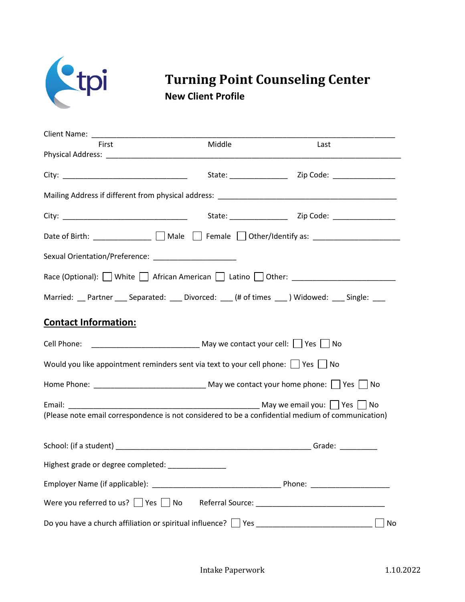

## **Turning Point Counseling Center New Client Profile**

| First                                                                                             | Middle | Last                                                                                                |
|---------------------------------------------------------------------------------------------------|--------|-----------------------------------------------------------------------------------------------------|
|                                                                                                   |        |                                                                                                     |
|                                                                                                   |        | State: Zip Code: 21 Code:                                                                           |
|                                                                                                   |        |                                                                                                     |
|                                                                                                   |        |                                                                                                     |
|                                                                                                   |        | Date of Birth: ______________ __ Male $\Box$ Female $\Box$ Other/Identify as: _____________________ |
|                                                                                                   |        |                                                                                                     |
|                                                                                                   |        | Race (Optional): White African American [J Latino   Other: _____________________                    |
| Married: Partner Separated: Divorced: (# of times Midowed: Single: 2010)                          |        |                                                                                                     |
| <b>Contact Information:</b>                                                                       |        |                                                                                                     |
|                                                                                                   |        |                                                                                                     |
| Would you like appointment reminders sent via text to your cell phone: $\Box$ Yes $\Box$ No       |        |                                                                                                     |
|                                                                                                   |        |                                                                                                     |
| (Please note email correspondence is not considered to be a confidential medium of communication) |        |                                                                                                     |
|                                                                                                   |        |                                                                                                     |
| Highest grade or degree completed: _______________                                                |        |                                                                                                     |
|                                                                                                   |        |                                                                                                     |
|                                                                                                   |        |                                                                                                     |
| Do you have a church affiliation or spiritual influence?   Yes                                    |        | No                                                                                                  |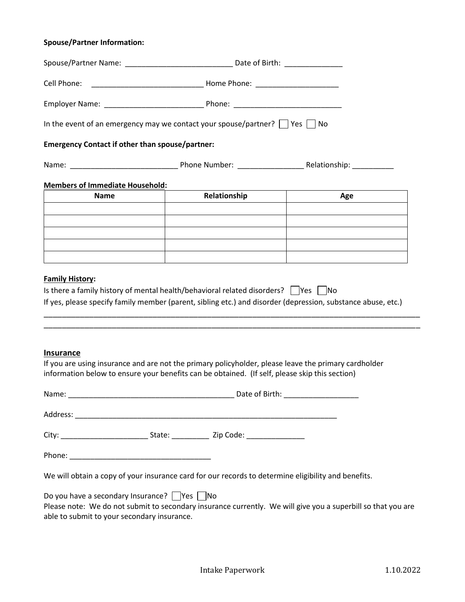## **Spouse/Partner Information:**

|                                                         | In the event of an emergency may we contact your spouse/partner? $\Box$ Yes $\Box$ No                                                                                                                                    |                                                                                                              |  |  |
|---------------------------------------------------------|--------------------------------------------------------------------------------------------------------------------------------------------------------------------------------------------------------------------------|--------------------------------------------------------------------------------------------------------------|--|--|
| <b>Emergency Contact if other than spouse/partner:</b>  |                                                                                                                                                                                                                          |                                                                                                              |  |  |
|                                                         |                                                                                                                                                                                                                          |                                                                                                              |  |  |
| <b>Members of Immediate Household:</b>                  |                                                                                                                                                                                                                          |                                                                                                              |  |  |
| <b>Name</b>                                             | Relationship                                                                                                                                                                                                             | Age                                                                                                          |  |  |
|                                                         |                                                                                                                                                                                                                          |                                                                                                              |  |  |
|                                                         |                                                                                                                                                                                                                          |                                                                                                              |  |  |
|                                                         |                                                                                                                                                                                                                          |                                                                                                              |  |  |
|                                                         |                                                                                                                                                                                                                          |                                                                                                              |  |  |
| <b>Family History:</b>                                  | Is there a family history of mental health/behavioral related disorders? $\Box$ Yes $\Box$ No                                                                                                                            | If yes, please specify family member (parent, sibling etc.) and disorder (depression, substance abuse, etc.) |  |  |
| <b>Insurance</b><br>Name:                               | If you are using insurance and are not the primary policyholder, please leave the primary cardholder<br>information below to ensure your benefits can be obtained. (If self, please skip this section)<br>Date of Birth: |                                                                                                              |  |  |
|                                                         |                                                                                                                                                                                                                          |                                                                                                              |  |  |
|                                                         |                                                                                                                                                                                                                          |                                                                                                              |  |  |
|                                                         |                                                                                                                                                                                                                          |                                                                                                              |  |  |
|                                                         |                                                                                                                                                                                                                          |                                                                                                              |  |  |
|                                                         | We will obtain a copy of your insurance card for our records to determine eligibility and benefits.                                                                                                                      |                                                                                                              |  |  |
| Do you have a secondary Insurance? $\Box$ Yes $\Box$ No |                                                                                                                                                                                                                          |                                                                                                              |  |  |

Please note: We do not submit to secondary insurance currently. We will give you a superbill so that you are able to submit to your secondary insurance.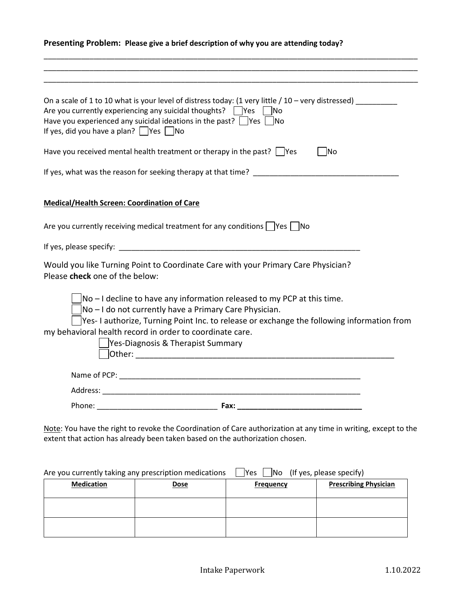## **Presenting Problem: Please give a brief description of why you are attending today?**

\_\_\_\_\_\_\_\_\_\_\_\_\_\_\_\_\_\_\_\_\_\_\_\_\_\_\_\_\_\_\_\_\_\_\_\_\_\_\_\_\_\_\_\_\_\_\_\_\_\_\_\_\_\_\_\_\_\_\_\_\_\_\_\_\_\_\_\_\_\_\_\_\_\_\_\_\_\_\_\_\_\_\_\_\_\_\_\_\_\_ \_\_\_\_\_\_\_\_\_\_\_\_\_\_\_\_\_\_\_\_\_\_\_\_\_\_\_\_\_\_\_\_\_\_\_\_\_\_\_\_\_\_\_\_\_\_\_\_\_\_\_\_\_\_\_\_\_\_\_\_\_\_\_\_\_\_\_\_\_\_\_\_\_\_\_\_\_\_\_\_\_\_\_\_\_\_\_\_\_\_

| On a scale of 1 to 10 what is your level of distress today: (1 very little $/$ 10 – very distressed)<br>Are you currently experiencing any suicidal thoughts? $\Box$ Yes $\Box$ No<br>Have you experienced any suicidal ideations in the past? $\Box$ Yes $\Box$ No<br>If yes, did you have a plan? $\Box$ Yes $\Box$ No                                                                                                                                                                                                        |
|---------------------------------------------------------------------------------------------------------------------------------------------------------------------------------------------------------------------------------------------------------------------------------------------------------------------------------------------------------------------------------------------------------------------------------------------------------------------------------------------------------------------------------|
| Have you received mental health treatment or therapy in the past? $\Box$ Yes<br>- INo                                                                                                                                                                                                                                                                                                                                                                                                                                           |
| If yes, what was the reason for seeking therapy at that time?                                                                                                                                                                                                                                                                                                                                                                                                                                                                   |
| <b>Medical/Health Screen: Coordination of Care</b>                                                                                                                                                                                                                                                                                                                                                                                                                                                                              |
| Are you currently receiving medical treatment for any conditions $\Box$ Yes $\Box$ No                                                                                                                                                                                                                                                                                                                                                                                                                                           |
|                                                                                                                                                                                                                                                                                                                                                                                                                                                                                                                                 |
| Would you like Turning Point to Coordinate Care with your Primary Care Physician?<br>Please check one of the below:                                                                                                                                                                                                                                                                                                                                                                                                             |
| $\vert$ No – I decline to have any information released to my PCP at this time.<br>No - I do not currently have a Primary Care Physician.<br>Yes-I authorize, Turning Point Inc. to release or exchange the following information from<br>my behavioral health record in order to coordinate care.<br>Yes-Diagnosis & Therapist Summary<br><b>Other: Other: Other: Other: Other: Other: Other: Other: Other: Other: Other: Other: Other: Other: Other: Other: Other: Other: Other: Other: Other: Other: Other: Other: Other</b> |
|                                                                                                                                                                                                                                                                                                                                                                                                                                                                                                                                 |
|                                                                                                                                                                                                                                                                                                                                                                                                                                                                                                                                 |
|                                                                                                                                                                                                                                                                                                                                                                                                                                                                                                                                 |
| Note: You have the right to revoke the Coordination of Care authorization at any time in writing, except to the<br>extent that action has already been taken based on the authorization chosen.                                                                                                                                                                                                                                                                                                                                 |

| Are you currently taking any prescription medications |      | Yes              | $\Box$ No (If yes, please specify) |
|-------------------------------------------------------|------|------------------|------------------------------------|
| <b>Medication</b>                                     | Dose | <b>Frequency</b> | <b>Prescribing Physician</b>       |
|                                                       |      |                  |                                    |
|                                                       |      |                  |                                    |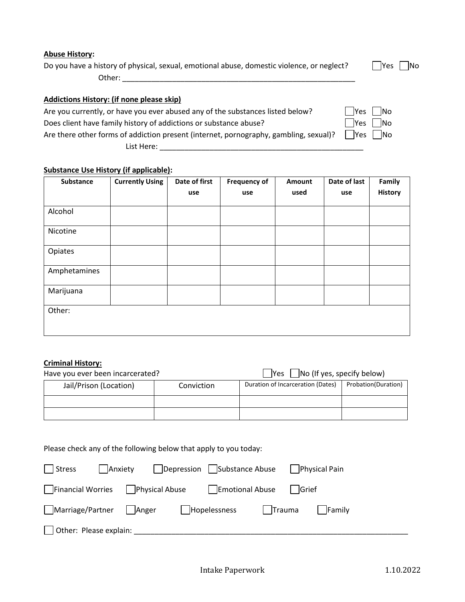Do you have a history of physical, sexual, emotional abuse, domestic violence, or neglect?  $\Box$  Yes  $\Box$  No

Other: \_\_\_\_\_\_\_\_\_\_\_\_\_\_\_\_\_\_\_\_\_\_\_\_\_\_\_\_\_\_\_\_\_\_\_\_\_\_\_\_\_\_\_\_\_\_\_\_\_\_\_\_\_\_\_\_

## **Addictions History: (if none please skip)**

Are you currently, or have you ever abused any of the substances listed below?  $\Box$  Yes  $\Box$  No

Does client have family history of addictions or substance abuse?  $\Box$  Yes  $\Box$  No

Are there other forms of addiction present (internet, pornography, gambling, sexual)?  $\Box$ Yes  $\Box$ No List Here: \_\_\_\_\_\_\_\_\_\_\_\_\_\_\_\_\_\_\_\_\_\_\_\_\_\_\_\_\_\_\_\_\_\_\_\_\_\_\_\_\_\_\_\_\_\_\_\_\_

## **Substance Use History (if applicable):**

| Substance    | <b>Currently Using</b> | Date of first | <b>Frequency of</b> | Amount | Date of last | Family         |
|--------------|------------------------|---------------|---------------------|--------|--------------|----------------|
|              |                        | use           | use                 | used   | use          | <b>History</b> |
| Alcohol      |                        |               |                     |        |              |                |
|              |                        |               |                     |        |              |                |
| Nicotine     |                        |               |                     |        |              |                |
| Opiates      |                        |               |                     |        |              |                |
| Amphetamines |                        |               |                     |        |              |                |
| Marijuana    |                        |               |                     |        |              |                |
| Other:       |                        |               |                     |        |              |                |
|              |                        |               |                     |        |              |                |

## **Criminal History:**

| Have you ever been incarcerated? |            | $\vert$ No (If yes, specify below)<br>lYes. |                     |  |
|----------------------------------|------------|---------------------------------------------|---------------------|--|
| Jail/Prison (Location)           | Conviction | Duration of Incarceration (Dates)           | Probation(Duration) |  |
|                                  |            |                                             |                     |  |
|                                  |            |                                             |                     |  |

# Please check any of the following below that apply to you today:

| Anxiety<br>  Stress            |                |                 | Depression    Substance Abuse    Physical Pain |        |
|--------------------------------|----------------|-----------------|------------------------------------------------|--------|
| Financial Worries              | Physical Abuse | Emotional Abuse | lGrief                                         |        |
| Marriage/Partner   Anger       |                | Hopelessness    | $ $ Trauma                                     | Family |
| $\vert$ Other: Please explain: |                |                 |                                                |        |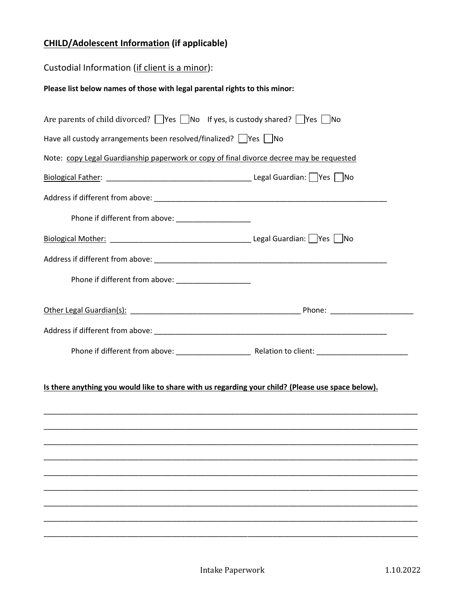## **CHILD/Adolescent Information (if applicable)**

## Custodial Information (if client is a minor):

## **Please list below names of those with legal parental rights to this minor:**

| Are parents of child divorced? $\Box$ Yes $\Box$ No If yes, is custody shared? $\Box$ Yes $\Box$ No |  |
|-----------------------------------------------------------------------------------------------------|--|
| Have all custody arrangements been resolved/finalized? Ves No                                       |  |
| Note: copy Legal Guardianship paperwork or copy of final divorce decree may be requested            |  |
|                                                                                                     |  |
|                                                                                                     |  |
| Phone if different from above: ________________________                                             |  |
|                                                                                                     |  |
|                                                                                                     |  |
| Phone if different from above: ________________________                                             |  |
|                                                                                                     |  |
|                                                                                                     |  |
|                                                                                                     |  |
| Is there anything you would like to share with us regarding your child? (Please use space below).   |  |
|                                                                                                     |  |
|                                                                                                     |  |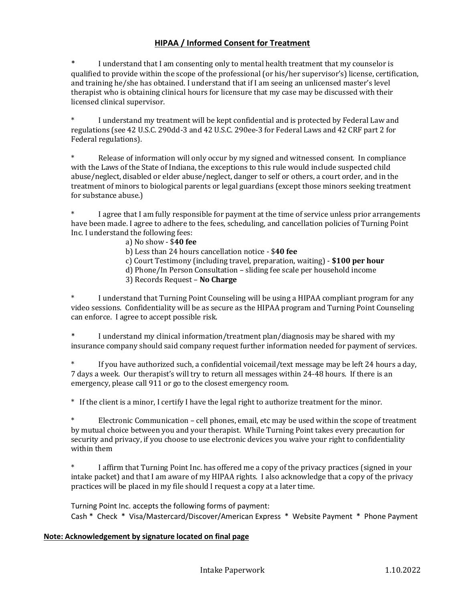## **HIPAA / Informed Consent for Treatment**

I understand that I am consenting only to mental health treatment that my counselor is qualified to provide within the scope of the professional (or his/her supervisor's) license, certification, and training he/she has obtained. I understand that if I am seeing an unlicensed master's level therapist who is obtaining clinical hours for licensure that my case may be discussed with their licensed clinical supervisor.

\* I understand my treatment will be kept confidential and is protected by Federal Law and regulations (see 42 U.S.C. 290dd-3 and 42 U.S.C. 290ee-3 for Federal Laws and 42 CRF part 2 for Federal regulations).

\* Release of information will only occur by my signed and witnessed consent. In compliance with the Laws of the State of Indiana, the exceptions to this rule would include suspected child abuse/neglect, disabled or elder abuse/neglect, danger to self or others, a court order, and in the treatment of minors to biological parents or legal guardians (except those minors seeking treatment for substance abuse.)

\* I agree that I am fully responsible for payment at the time of service unless prior arrangements have been made. I agree to adhere to the fees, scheduling, and cancellation policies of Turning Point Inc. I understand the following fees:

#### a) No show - \$**40 fee**

b) Less than 24 hours cancellation notice - \$**40 fee**

- c) Court Testimony (including travel, preparation, waiting) **\$100 per hour**
- d) Phone/In Person Consultation sliding fee scale per household income
- 3) Records Request **No Charge**

I understand that Turning Point Counseling will be using a HIPAA compliant program for any video sessions. Confidentiality will be as secure as the HIPAA program and Turning Point Counseling can enforce. I agree to accept possible risk.

I understand my clinical information/treatment plan/diagnosis may be shared with my insurance company should said company request further information needed for payment of services.

If you have authorized such, a confidential voicemail/text message may be left 24 hours a day, 7 days a week. Our therapist's will try to return all messages within 24-48 hours. If there is an emergency, please call 911 or go to the closest emergency room.

\* If the client is a minor, I certify I have the legal right to authorize treatment for the minor.

Electronic Communication – cell phones, email, etc may be used within the scope of treatment by mutual choice between you and your therapist. While Turning Point takes every precaution for security and privacy, if you choose to use electronic devices you waive your right to confidentiality within them

I affirm that Turning Point Inc. has offered me a copy of the privacy practices (signed in your intake packet) and that I am aware of my HIPAA rights. I also acknowledge that a copy of the privacy practices will be placed in my file should I request a copy at a later time.

Turning Point Inc. accepts the following forms of payment: Cash \* Check \* Visa/Mastercard/Discover/American Express \* Website Payment \* Phone Payment

#### **Note: Acknowledgement by signature located on final page**